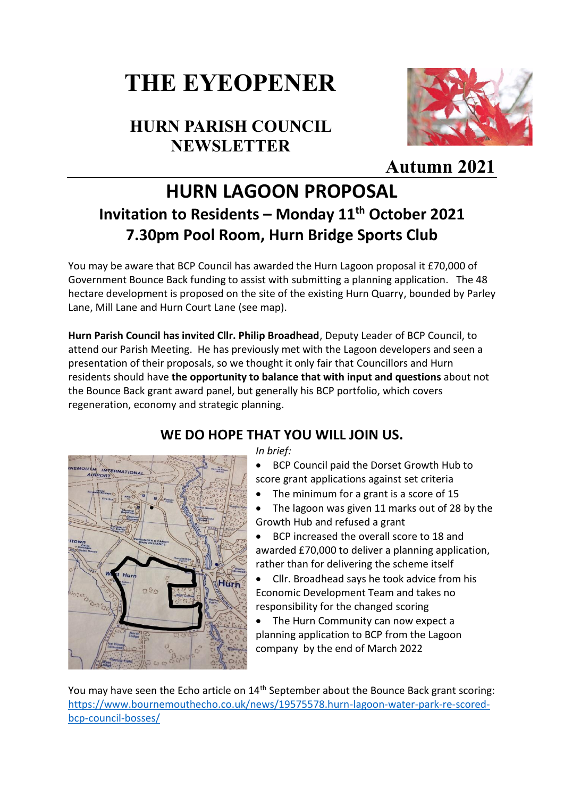# **THE EYEOPENER**

## **HURN PARISH COUNCIL NEWSLETTER**



## **[A](https://creativecommons.org/licenses/by/3.0/)utumn 2021**

# **HURN LAGOON PROPOSAL Invitation to Residents – Monday 11th October 2021 7.30pm Pool Room, Hurn Bridge Sports Club**

You may be aware that BCP Council has awarded the Hurn Lagoon proposal it £70,000 of Government Bounce Back funding to assist with submitting a planning application. The 48 hectare development is proposed on the site of the existing Hurn Quarry, bounded by Parley Lane, Mill Lane and Hurn Court Lane (see map).

**Hurn Parish Council has invited Cllr. Philip Broadhead**, Deputy Leader of BCP Council, to attend our Parish Meeting. He has previously met with the Lagoon developers and seen a presentation of their proposals, so we thought it only fair that Councillors and Hurn residents should have **the opportunity to balance that with input and questions** about not the Bounce Back grant award panel, but generally his BCP portfolio, which covers regeneration, economy and strategic planning.



#### **WE DO HOPE THAT YOU WILL JOIN US.**

*In brief:*

• BCP Council paid the Dorset Growth Hub to score grant applications against set criteria

- The minimum for a grant is a score of 15
- The lagoon was given 11 marks out of 28 by the Growth Hub and refused a grant

• BCP increased the overall score to 18 and awarded £70,000 to deliver a planning application, rather than for delivering the scheme itself

• Cllr. Broadhead says he took advice from his Economic Development Team and takes no responsibility for the changed scoring

The Hurn Community can now expect a planning application to BCP from the Lagoon company by the end of March 2022

You may have seen the Echo article on 14<sup>th</sup> September about the Bounce Back grant scoring: [https://www.bournemouthecho.co.uk/news/19575578.hurn-lagoon-water-park-re-scored-](https://www.bournemouthecho.co.uk/news/19575578.hurn-lagoon-water-park-re-scored-bcp-council-bosses/)